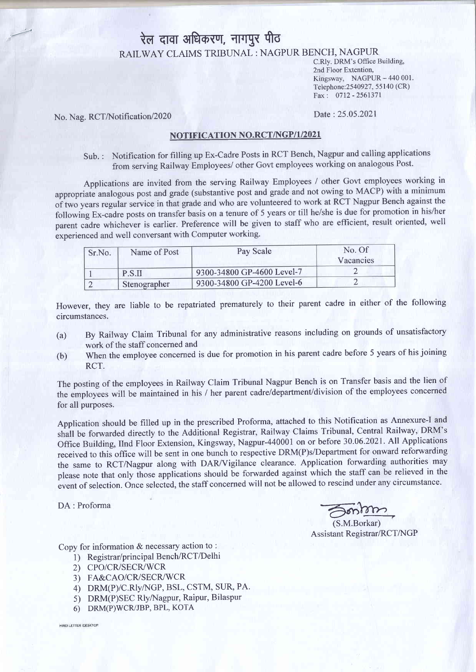# रेल दावा अधिकरण, नागपुर पीठ RAILWAY CLAIMS TRIBUNAL : NAGPUR BENCH, NAGPUR

C.Rly. DRM's Office Building, 2nd Floor Extention, Kingsway, NAGPUR  $-440001$ . Telephone:2540927, 55 140 (CR) Fax : 0712 -2561371

No. Nag. RCT/Notification/2020

#### Date : 25.05.2021

### NOTIFICATION NO.RCT/NGP/1/2021

Sub. : Notification for filling up Ex-Cadre Posts in RCT Bench, Nagpur and calling applications from serving Railway Employees/ other Govt employees working on analogous Post.

Applications are invited from the serving Railway Employees / other Govt employees working in appropriate analogous post and grade (substantive post and grade and not owing to MACP) with a minimum<br>of two years regular service in that grade and who are volunteered to work at RCT Nagpur Bench against the of two years regular service in that grade and who are volunteered to work at RCT Nagpur Bench against the following Ex-cadre posts on transfer basis on a tenure of 5 years or till he/she is due for promotion in his/her parent cadre whichever is earlier. Preference will be given to staff who are efficient, result oriented, well experienced and well conversant with Computer working.

| Sr.No. | Name of Post | Pay Scale                  | No. Of<br>Vacancies |
|--------|--------------|----------------------------|---------------------|
|        | P.S.II       | 9300-34800 GP-4600 Level-7 |                     |
|        | Stenographer | 9300-34800 GP-4200 Level-6 |                     |

However, they are liable to be repatriated prematurely to their parent cadre in either of the following circumstances.

- (a) By Railway Claim Tribunal for any administrative reasons including on grounds of unsatisfactory work of the staff concerned and
- (b) When the employee concerned is due for promotion in his parent cadre before 5 years of his joining RCT.

The posting of the employees in Railway Claim Tribunal Nagpur Bench is on Transfer basis and the lien of the employees will be maintained in his / her parent cadre/department/division of the employees concerned for all purposes.

Application should be filled up in the prescribed Proforma, attached to this Notification as Annexure-I and shall be forwarded directly to the Additional Registrar, Railway Claims Tribunal, Central Railway, DRM's Office Building, IInd Floor Extension, Kingsway, Nagpur-440001 on or before 30.06.2021. All Applications received to this office will be sent in one bunch to respective DRM(P)s/Department for onward reforwarding the same to RCT/Nagpur along with DAR/Vigilance clearance. Application forwarding authorities may please note that only those applications should be forwarded against which the staff can be relieved in the event of selection. Once selected, the staff concerned will not be allowed to rescind under any circumstance.

DA: Proforma

(S.M.Borkar) Assistant Registrar/RCT/NGP

Copy for information & necessary action to :

- 1) Registrar/principal Bench/RCT/Delhi
- 2) CPO/CR/SECR/WCR
- 3) FA&CAO/CR/SECR/WCR
- 4) DRM(P)/C.Rly/NGP, BSL, CSTM, SUR, PA.
- 5) DRM(P)SEC Rly/Nagpur, Raipur, Bilaspur
- 6) DRM(P)WCR/JBP, BPL, KOTA

HINDI LETTER /DESKTOP